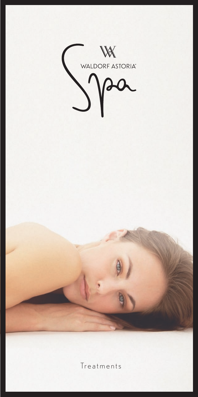

**Treatments**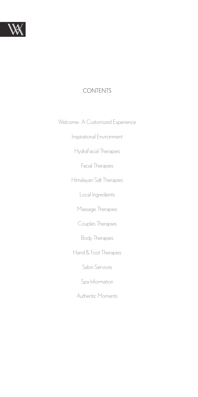

#### CONTENTS

Welcome- A Customized Experience

Inspirational Environment

HydraFacial Therapies

Facial Therapies

Himalayan Salt Therapies

Local Ingredients

Massage Therapies

Couples Therapies

Body Therapies

Hand & Foot Therapies

Salon Services

Spa Information

Authentic Moments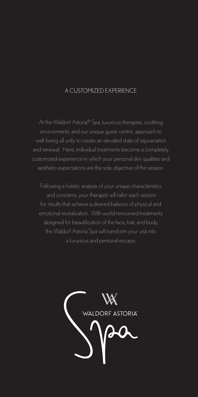#### A CUSTOMIZED EXPERIENCE

At the Waldorf Astoria® Spa, luxurious therapies, soothing environments, and our unique guest-centric approach to and renewal. Here, individual treatments become a completely customized experience in which your personal skin qualities and aesthetic expectations are the sole objective of the session.

Following a holistic analysis of your unique characteristics and concerns, your therapist will tailor each session for results that achieve a desired balance of physical and emotional revitalization. With world renowned treatments designed for beautification of the face, hair, and body, the Waldorf Astoria Spa will transform your visit into a luxurious and personal escape.

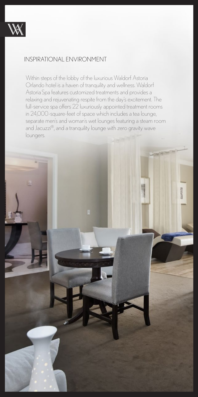

### INSPIRATIONAL ENVIRONMENT

Within steps of the lobby of the luxurious Waldorf Astoria Orlando hotel is a haven of tranquility and wellness. Waldorf Astoria Spa features customized treatments and provides a relaxing and rejuvenating respite from the day's excitement. The full-service spa offers 22 luxuriously appointed treatment rooms in 24,000-square-feet of space which includes a tea lounge, separate men's and woman's wet lounges featuring a steam room and Jacuzzi®, and a tranquility lounge with zero gravity wave loungers.

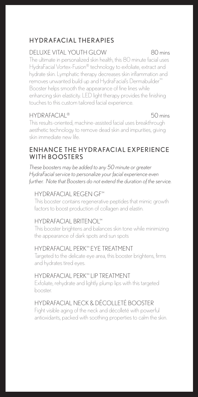# **HYDRAFACIAL THERAPIES**

# DELUXE VITAL YOUTH GLOW 80 mins

The ultimate in personalized skin health, this 80 minute facial uses HydraFacial Vortex-Fusion® technology to exfoliate, extract and hydrate skin. Lymphatic therapy decreases skin inflammation and removes unwanted build up and HydraFacial's Dermabuilder™ Booster helps smooth the appearance of fine lines while enhancing skin elasticity. LED light therapy provides the finishing touches to this custom tailored facial experience.

### HYDRAFACIAL® 50 mins

This results-oriented, machine-assisted facial uses breakthrough aesthetic technology to remove dead skin and impurities, giving skin immediate new life.

### ENHANCE THE HYDRAFACIAL EXPERIENCE WITH BOOSTERS

*These boosters may be added to any 50 minute or greater HydraFacial service to personalize your facial experience even further. Note that Boosters do not extend the duration of the service.*

### HYDRAFACIAL REGEN GF™

This booster contains regenerative peptides that mimic growth factors to boost production of collagen and elastin.

### HYDRAFACIAL BRITENOL™

This booster brightens and balances skin tone while minimizing the appearance of dark spots and sun spots

### HYDRAFACIAL PERK™ EYE TREATMENT

Targeted to the delicate eye area, this booster brightens, firms and hydrates tired eyes.

## HYDRAFACIAL PERK™ LIP TREATMENT

Exfoliate, rehydrate and lightly plump lips with this targeted booster.

## HYDRAFACIAL NECK & DÉCOLLETÉ BOOSTER

Fight visible aging of the neck and décolleté with powerful antioxidants, packed with soothing properties to calm the skin.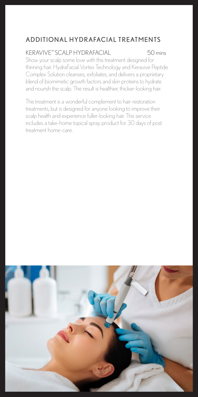# A D D I TIO N A L HY DRAFACIAL TREATMENTS

# KERAVIVE™ SCALP HYDRAFACIAL 50 mins

Show your scalp some love with this treatment designed for thinning hair. HydraFacial Vortex Technology and Keravive Peptide Complex Solution cleanses, exfoliates, and delivers a proprietary blend of biomimetic growth factors and skin proteins to hydrate and nourish the scalp. The result is healthier, thicker-looking hair.

This treatment is a wonderful complement to hair-restoration treatments, but is designed for anyone looking to improve their scalp health and experience fuller-looking hair. This service includes a take-home topical spray product for 30 days of post treatment home-care.

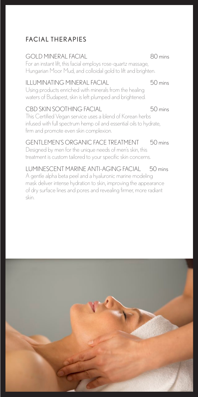# **FACIAL THERAPIES**

### GOLD MINERAL FACIAL 80 mins

For an instant lift, this facial employs rose-quartz massage, Hungarian Moor Mud, and colloidal gold to lift and brighten.

### ILLUMINATING MINERAL FACIAL 60 mins

Using products enriched with minerals from the healing waters of Budapest, skin is left plumped and brightened.

#### CBD SKIN SOOTHING FACIAL 50 mins

This Certified Vegan service uses a blend of Korean herbs infused with full spectrum hemp oil and essential oils to hydrate, firm and promote even skin complexion.

### GENTLEMEN'S ORGANIC FACE TREATMENT 50 mins

Designed by men for the unique needs of men's skin, this treatment is custom tailored to your specific skin concerns.

LUMINESCENT MARINE ANTI-AGING FACIAL 50 mins

A gentle alpha beta peel and a hyaluronic marine modeling mask deliver intense hydration to skin, improving the appearance of dry surface lines and pores and revealing firmer, more radiant skin.

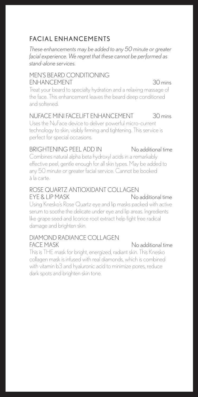# FACIAL ENHANCEMENTS

*These enhancements may be added to any 50 minute or greater facial experience. We regret that these cannot be performed as stand-alone services.*

### MEN'S BEARD CONDITIONING ENHANCEMENT 30 mins

Treat your beard to specialty hydration and a relaxing massage of the face. This enhancement leaves the beard deep conditioned and softened.

#### NUFACE MINI FACELIFT ENHANCEMENT 30 mins

Uses the NuFace device to deliver powerful micro-current technology to skin, visibly firming and tightening. This service is perfect for special occasions.

### BRIGHTENING PEEL ADD IN No additional time

Combines natural alpha beta hydroxyl acids in a remarkably effective peel, gentle enough for all skin types. May be added to any 50 minute or greater facial service. Cannot be booked à la carte.

#### ROSE QUARTZ ANTIOXIDANT COLLAGEN EYE & LIP MASK No additional time

Using Knesko's Rose Quartz eye and lip masks packed with active serum to soothe the delicate under eye and lip areas. Ingredients like grape seed and licorice root extract help fight free radical damage and brighten skin.

#### DIAMOND RADIANCE COLLAGEN FACE MASK No additional time

This is THE mask for bright, energized, radiant skin. This Knesko collagen mask is infused with real diamonds, which is combined with vitamin b3 and hyaluronic acid to minimize pores, reduce dark spots and brighten skin tone.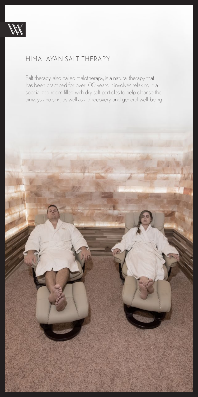

## HIMALAYAN SALT THERAPY

has been practiced for over 100 years. It involves relaxing in a Salt therapy, also called Halotherapy, is a natural therapy that specialized room filled with dry salt particles to help cleanse the airways and skin, as well as aid recovery and general well-being.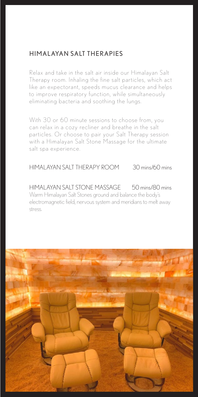## HIMALAYAN SALT THERAPIES

Relax and take in the salt air inside our Himalayan Salt Therapy room. Inhaling the fine salt particles, which act like an expectorant, speeds mucus clearance and helps to improve respiratory function, while simultaneously eliminating bacteria and soothing the lungs.

With 30 or 60 minute sessions to choose from, you can relax in a cozy recliner and breathe in the salt particles. Or choose to pair your Salt Therapy session with a Himalayan Salt Stone Massage for the ultimate salt spa experience.

#### HIMALAYAN SALT THERAPY ROOM 30 mins/60 mins

HIMALAYAN SALT STONE MASSAGE 50 mins/80 mins Warm Himalayan Salt Stones ground and balance the body's electromagnetic field, nervous system and meridians to melt away stress.

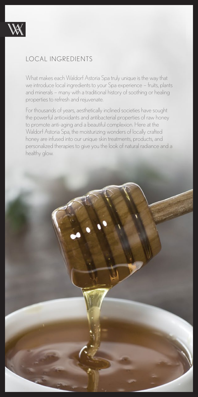

## LOCAL INGREDIENTS

What makes each Waldorf Astoria Spa truly unique is the way that we introduce local ingredients to your Spa experience – fruits, plants and minerals – many with a traditional history of soothing or healing properties to refresh and rejuvenate.

For thousands of years, aesthetically inclined societies have sought the powerful antioxidants and antibacterial properties of raw honey to promote anti-aging and a beautiful complexion. Here at the Waldorf Astoria Spa, the moisturizing wonders of locally crafted honey are infused into our unique skin treatments, products, and personalized therapies to give you the look of natural radiance and a healthy glow.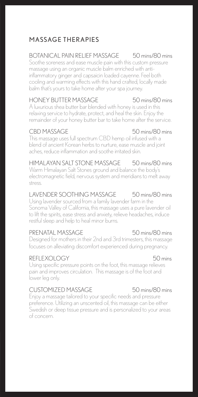# MASSAGE THERAPIES

# BOTANICAL PAIN RELIEF MASSAGE 50 mins/80 mins

Soothe soreness and ease muscle pain with this custom pressure massage using an organic muscle balm enriched with antiinflammatory ginger and capsaicin loaded cayenne. Feel both cooling and warming effects with this hand crafted, locally made balm that's yours to take home after your spa journey.

# HONEY BUTTER MASSAGE 50 mins/80 mins

A luxurious shea butter bar blended with honey is used in this relaxing service to hydrate, protect, and heal the skin. Enjoy the remainder of your honey butter bar to take home after the service.

## CBD MASSAGE 50 mins/80 mins

This massage uses full spectrum CBD hemp oil infused with a blend of ancient Korean herbs to nurture, ease muscle and joint aches, reduce inflammation and soothe irritated skin.

# HIMALAYAN SALT STONE MASSAGE 50 mins/80 mins

Warm Himalayan Salt Stones ground and balance the body's electromagnetic field, nervous system and meridians to melt away stress.

### LAVENDER SOOTHING MASSAGE 50 mins/80 mins

Using lavender sourced from a family lavender farm in the Sonoma Valley of California, this massage uses a pure lavender oil to lift the spirits, ease stress and anxiety, relieve headaches, induce restful sleep and help to heal minor burns.

# PRENATAL MASSAGE 50 mins/80 mins

Designed for mothers in their 2nd and 3rd trimesters, this massage focuses on alleviating discomfort experienced during pregnancy.

## REFLEXOLOGY 50 mins

Using specific pressure points on the foot, this massage relieves pain and improves circulation. This massage is of the foot and lower leg only.

# CUSTOMIZED MASSAGE 50 mins/80 mins

Enjoy a massage tailored to your specific needs and pressure preference. Utilizing an unscented oil, this massage can be either Swedish or deep tissue pressure and is personalized to your areas of concern.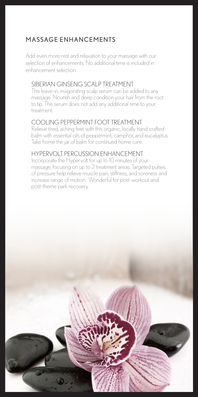# MASSAGE ENHANCEMENTS

Add even more rest and relaxation to your massage with our selection of enhancements. No additional time is included in enhancement selection.

### SIBERIAN GINSENG SCALP TREATMENT

This leave-in, invigorating scalp serum can be added to any massage. Nourish and deep condition your hair from the root to tip. This serum does not add any additional time to your treatment.

#### COOLING PEPPERMINT FOOT TREATMENT

Relieve tired, aching feet with this organic, locally hand crafted balm with essential oils of peppermint, camphor, and eucalyptus. Take home the jar of balm for continued home care.

#### HYPERVOLT PERCUSSION ENHANCEMENT

Incorporate the Hypervolt for up to 10 minutes of your massage, focusing on up to 2 treatment areas. Targeted pulses of pressure help relieve muscle pain, stiffness, and soreness and increase range of motion. Wonderful for post-workout and post-theme park recovery.

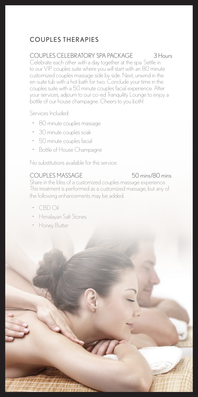# COUPLES THERAPIES

## COUPLES CELEBRATORY SPA PACKAGE 3 Hours

Celebrate each other with a day together at the spa. Settle in to our VIP couples suite where you will start with an 80 minute customized couples massage side by side. Next, unwind in the en-suite tub with a hot bath for two. Conclude your time in the couples suite with a 50 minute couples facial experience. After your services, adjourn to our co-ed Tranquility Lounge to enjoy a bottle of our house champagne. Cheers to you both!

Services Included:

- 80 minute couples massage
- 30 minute couples soak
- 50 minute couples facial
- Bottle of House Champagne

No substitutions available for this service.

## COUPLES MASSAGE 50 mins/80 mins

Share in the bliss of a customized couples massage experience. This treatment is performed as a customized massage, but any of the following enhancements may be added.

- CBD Oil
- Himalayan Salt Stones
- Honey Butter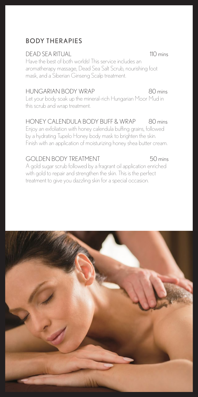# **BODY THERAPIES**

## DEAD SEA RITUAL 110 mins

Have the best of both worlds! This service includes an aromatherapy massage, Dead Sea Salt Scrub, nourishing foot mask, and a Siberian Ginseng Scalp treatment.

### HUNGARIAN BODY WRAP 80 mins

Let your body soak up the mineral-rich Hungarian Moor Mud in this scrub and wrap treatment.

### HONEY CALENDULA BODY BUFF & WRAP 80 mins

Enjoy an exfoliation with honey calendula buffing grains, followed by a hydrating Tupelo Honey body mask to brighten the skin. Finish with an application of moisturizing honey shea butter cream.

### GOLDEN BODY TREATMENT 50 mins

A gold sugar scrub followed by a fragrant oil application enriched with gold to repair and strengthen the skin. This is the perfect treatment to give you dazzling skin for a special occasion.

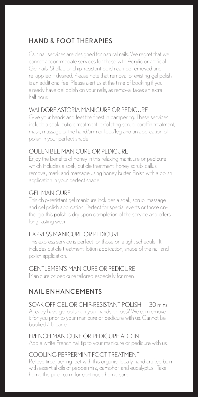# HAND & FOOT THERAPIES

Our nail services are designed for natural nails. We regret that we cannot accommodate services for those with Acrylic or artificial Gel nails. Shellac or chip-resistant polish can be removed and re-applied if desired. Please note that removal of existing gel polish is an additional fee. Please alert us at the time of booking if you already have gel polish on your nails, as removal takes an extra half hour.

## WALDORE ASTORIA MANICURE OR PEDICURE

Give your hands and feet the finest in pampering. These services include a soak, cuticle treatment, exfoliating scrub, paraffin treatment, mask, massage of the hand/arm or foot/leg and an application of polish in your perfect shade.

### QUEEN BEE MANICURE OR PEDICURE

Enjoy the benefits of honey in this relaxing manicure or pedicure which includes a soak, cuticle treatment, honey scrub, callus removal, mask and massage using honey butter. Finish with a polish application in your perfect shade.

#### GEL MANICURE

This chip-resistant gel manicure includes a soak, scrub, massage and gel polish application. Perfect for special events or those onthe-go, this polish is dry upon completion of the service and offers long-lasting wear.

## EXPRESS MANICURE OR PEDICURE

This express service is perfect for those on a tight schedule. It includes cuticle treatment, lotion application, shape of the nail and polish application.

### GENTLEMEN'S MANICURE OR PEDICURE

Manicure or pedicure tailored especially for men.

# NAIL ENHANCEMENTS

## SOAK OFF GEL OR CHIP-RESISTANT POLISH 30 mins

Already have gel polish on your hands or toes? We can remove it for you prior to your manicure or pedicure with us. Cannot be booked á la carte.

# FRENCH MANICURE OR PEDICURE ADD IN

Add a white French nail tip to your manicure or pedicure with us.

# COOLING PEPPERMINT FOOT TREATMENT

Relieve tired, aching feet with this organic, locally hand crafted balm with essential oils of peppermint, camphor, and eucalyptus. Take home the jar of balm for continued home care.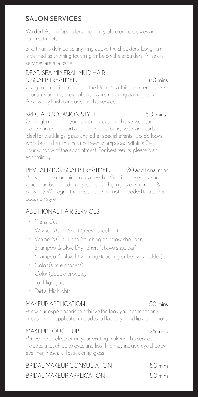# SALON SERVICES

Waldorf Astoria Spa offers a full array of color, cuts, styles and hair treatments.

Short hair is defined as anything above the shoulders. Long hair is defined as anything touching or below the shoulders. All salon services are á la carte.

## DEAD SEA MINERAL MUD HAIR & SCALP TREATMENT 60 mins

#### Using mineral-rich mud from the Dead Sea, this treatment softens, nourishes and restores brilliance while repairing damaged hair. A blow dry finish is included in this service.

# SPECIAL OCCASION STYLE 50 mins

Get a glam look for your special occasion. This service can include an up-do, partial up-do, braids, buns, twists and curls. Ideal for weddings, galas and other special events. Up-do looks work best in hair that has not been shampooed within a 24 hour window of the appointment. For best results, please plan accordingly.

# REVITALIZING SCALP TREATMENT 30 additional mins

Reinvigorate your hair and scalp with a Siberian ginseng serum, which can be added to any cut, color, highlights or shampoo & blow dry. We regret that this service cannot be added to a special occasion style.

# ADDITIONAL HAIR SERVICES:

- Men's Cut
- Women's Cut- Short (above shoulder)
- Women's Cut- Long (touching or below shoulder)
- Shampoo & Blow Dry- Short (above shoulder)
- Shampoo & Blow Dry- Long (touching or below shoulder)
- Color (single process)
- Color (double process)
- Full Highlights
- Partial Highlights

# MAKEUP APPLICATION 50 mins

Allow our expert hands to achieve the look you desire for any occasion. Full application includes full face, eye and lip applications.

# MAKEUP TOUCH-UP 25 mins

Perfect for a refresher on your existing makeup, this service includes a touch up to eyes and lips. This may include eye shadow, eye liner, mascara, lipstick or lip gloss.

| BRIDAL MAKEUP CONSULTATION | $50 \,\mathrm{mins}$ |
|----------------------------|----------------------|
| BRIDAL MAKEUP APPLICATION  | $50 \,\mathrm{mins}$ |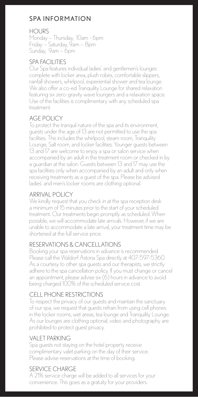# **SPA INFORMATION**

## **HOURS**

Monday – Thursday, 10am - 6pm Friday – Saturday, 9am – 8pm Sunday, 9am – 6pm

# SPA FACILITIES

Our Spa features individual ladies' and gentlemen's lounges complete with locker area, plush robes, comfortable slippers, rainfall showers, whirlpool, experiential shower and tea lounge. We also offer a co-ed Tranquility Lounge for shared relaxation featuring six zero-gravity wave loungers and a relaxation space. Use of the facilities is complimentary with any scheduled spa treatment.

# AGE POLICY

To protect the tranquil nature of the spa and its environment, guests under the age of 13 are not permitted to use the spa facilities. This includes the whirlpool, steam room, Tranquility Lounge, Salt room, and locker facilities. Younger guests between 13 and 17 are welcome to enjoy a spa or salon service when accompanied by an adult in the treatment room or checked in by a guardian at the salon. Guests between 13 and 17 may use the spa facilities only when accompanied by an adult and only when receiving treatments as a guest of the spa. Please be advised ladies' and men's locker rooms are clothing optional.

# ARRIVAL POLICY

We kindly request that you check in at the spa reception desk a minimum of 15 minutes prior to the start of your scheduled treatment. Our treatments begin promptly as scheduled. When possible, we will accommodate late arrivals. However, if we are unable to accommodate a late arrival, your treatment time may be shortened at the full service price.

# RESERVATIONS & CANCELLATIONS

Booking your spa reservations in advance is recommended. Please call the Waldorf Astoria Spa directly at 407-597-5360. As a courtesy to other spa guests and our therapists, we strictly adhere to the spa cancellation policy. If you must change or cancel an appointment, please advise six (6) hours in advance to avoid being charged 100% of the scheduled service cost.

# CELL PHONE RESTRICTIONS

To respect the privacy of our guests and maintain the sanctuary of our spa, we request that guests refrain from using cell phones in the locker rooms, wet areas, tea lounge and Tranquility Lounge. As our lounges are clothing optional, video and photography are prohibited to protect guest privacy.

# VALET PARKING

Spa guests not staying on the hotel property receive complimentary valet parking on the day of their service. Please advise reservations at the time of booking.

# SERVICE CHARGE

A 21% service charge will be added to all services for your convenience. This goes as a gratuity for your providers.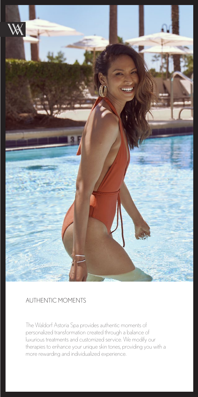

## AUTHENTIC MOMENTS

The Waldorf Astoria Spa provides authentic moments of personalized transformation created through a balance of luxurious treatments and customized service. We modify our therapies to enhance your unique skin tones, providing you with a more rewarding and individualized experience.